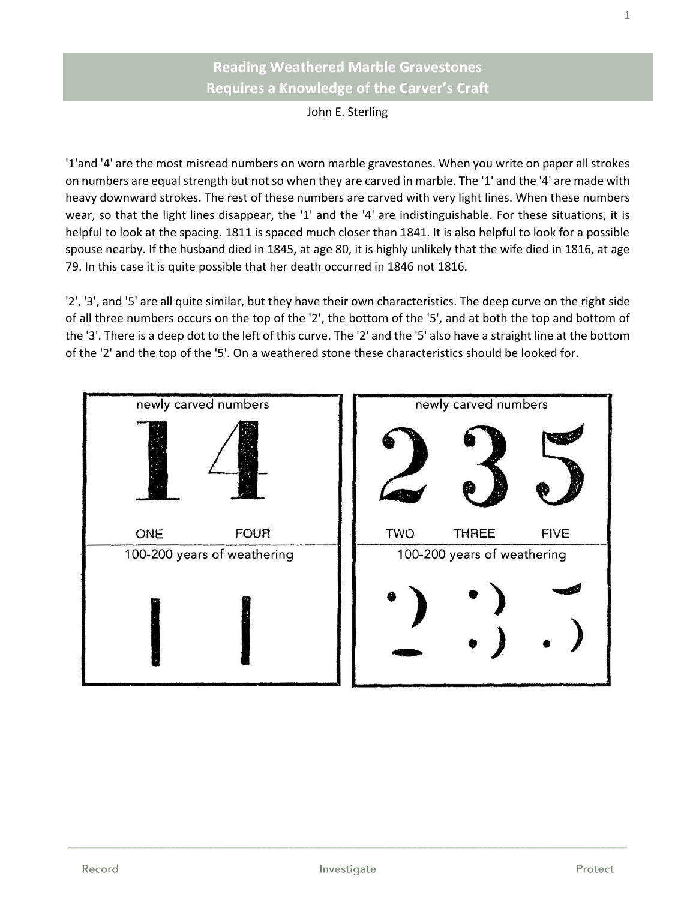## **Reading Weathered Marble Gravestones Requires a Knowledge of the Carver's Craft**

John E. Sterling

'1'and '4' are the most misread numbers on worn marble gravestones. When you write on paper all strokes on numbers are equal strength but not so when they are carved in marble. The '1' and the '4' are made with heavy downward strokes. The rest of these numbers are carved with very light lines. When these numbers wear, so that the light lines disappear, the '1' and the '4' are indistinguishable. For these situations, it is helpful to look at the spacing. 1811 is spaced much closer than 1841. It is also helpful to look for a possible spouse nearby. If the husband died in 1845, at age 80, it is highly unlikely that the wife died in 1816, at age 79. In this case it is quite possible that her death occurred in 1846 not 1816.

'2', '3', and '5' are all quite similar, but they have their own characteristics. The deep curve on the right side of all three numbers occurs on the top of the '2', the bottom of the '5', and at both the top and bottom of the '3'. There is a deep dot to the left of this curve. The '2' and the '5' also have a straight line at the bottom of the '2' and the top of the '5'. On a weathered stone these characteristics should be looked for.



**\_\_\_\_\_\_\_\_\_\_\_\_\_\_\_\_\_\_\_\_\_\_\_\_\_\_\_\_\_\_\_\_\_\_\_\_\_\_\_\_\_\_\_\_\_\_\_\_\_\_\_\_\_\_\_\_\_\_\_\_\_\_\_\_\_\_\_\_\_\_\_\_\_\_\_\_\_\_\_\_\_\_\_\_\_\_\_\_\_\_\_\_\_\_\_\_\_\_\_\_\_\_\_\_**